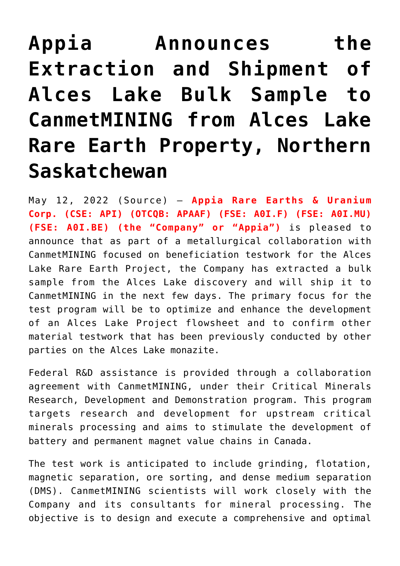## **[Appia Announces the](https://investorintel.com/markets/uranium-energy/uranium-energy-news/appia-announces-the-extraction-and-shipment-of-alces-lake-bulk-sample-to-canmetmining-from-alces-lake-rare-earth-property-northern-saskatchewan/) [Extraction and Shipment of](https://investorintel.com/markets/uranium-energy/uranium-energy-news/appia-announces-the-extraction-and-shipment-of-alces-lake-bulk-sample-to-canmetmining-from-alces-lake-rare-earth-property-northern-saskatchewan/) [Alces Lake Bulk Sample to](https://investorintel.com/markets/uranium-energy/uranium-energy-news/appia-announces-the-extraction-and-shipment-of-alces-lake-bulk-sample-to-canmetmining-from-alces-lake-rare-earth-property-northern-saskatchewan/) [CanmetMINING from Alces Lake](https://investorintel.com/markets/uranium-energy/uranium-energy-news/appia-announces-the-extraction-and-shipment-of-alces-lake-bulk-sample-to-canmetmining-from-alces-lake-rare-earth-property-northern-saskatchewan/) [Rare Earth Property, Northern](https://investorintel.com/markets/uranium-energy/uranium-energy-news/appia-announces-the-extraction-and-shipment-of-alces-lake-bulk-sample-to-canmetmining-from-alces-lake-rare-earth-property-northern-saskatchewan/) [Saskatchewan](https://investorintel.com/markets/uranium-energy/uranium-energy-news/appia-announces-the-extraction-and-shipment-of-alces-lake-bulk-sample-to-canmetmining-from-alces-lake-rare-earth-property-northern-saskatchewan/)**

May 12, 2022 ([Source\)](https://www.newsfilecorp.com/release/123785/Appia-Announces-the-Extraction-and-Shipment-of-Alces-Lake-Bulk-Sample-to-CanmetMINING-from-Alces-Lake-Rare-Earth-Property-Northern-Saskatchewan) – **Appia Rare Earths & Uranium Corp. (CSE: API) (OTCQB: APAAF) (FSE: A0I.F) (FSE: A0I.MU) (FSE: A0I.BE) (the "Company" or "Appia")** is pleased to announce that as part of a metallurgical collaboration with CanmetMINING focused on beneficiation testwork for the Alces Lake Rare Earth Project, the Company has extracted a bulk sample from the Alces Lake discovery and will ship it to CanmetMINING in the next few days. The primary focus for the test program will be to optimize and enhance the development of an Alces Lake Project flowsheet and to confirm other material testwork that has been previously conducted by other parties on the Alces Lake monazite.

Federal R&D assistance is provided through a collaboration agreement with CanmetMINING, under their Critical Minerals Research, Development and Demonstration program. This program targets research and development for upstream critical minerals processing and aims to stimulate the development of battery and permanent magnet value chains in Canada.

The test work is anticipated to include grinding, flotation, magnetic separation, ore sorting, and dense medium separation (DMS). CanmetMINING scientists will work closely with the Company and its consultants for mineral processing. The objective is to design and execute a comprehensive and optimal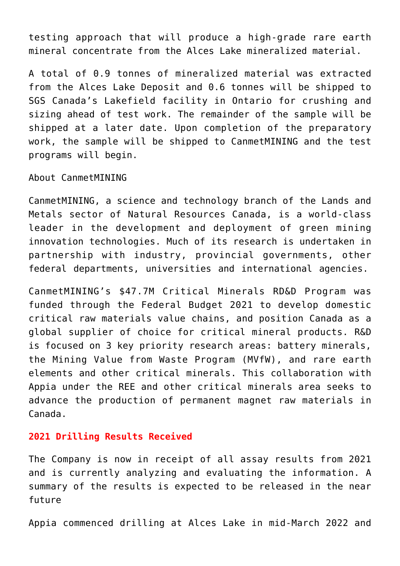testing approach that will produce a high-grade rare earth mineral concentrate from the Alces Lake mineralized material.

A total of 0.9 tonnes of mineralized material was extracted from the Alces Lake Deposit and 0.6 tonnes will be shipped to SGS Canada's Lakefield facility in Ontario for crushing and sizing ahead of test work. The remainder of the sample will be shipped at a later date. Upon completion of the preparatory work, the sample will be shipped to CanmetMINING and the test programs will begin.

About CanmetMINING

CanmetMINING, a science and technology branch of the Lands and Metals sector of Natural Resources Canada, is a world-class leader in the development and deployment of green mining innovation technologies. Much of its research is undertaken in partnership with industry, provincial governments, other federal departments, universities and international agencies.

CanmetMINING's \$47.7M Critical Minerals RD&D Program was funded through the Federal Budget 2021 to develop domestic critical raw materials value chains, and position Canada as a global supplier of choice for critical mineral products. R&D is focused on 3 key priority research areas: battery minerals, the Mining Value from Waste Program (MVfW), and rare earth elements and other critical minerals. This collaboration with Appia under the REE and other critical minerals area seeks to advance the production of permanent magnet raw materials in Canada.

## **2021 Drilling Results Received**

The Company is now in receipt of all assay results from 2021 and is currently analyzing and evaluating the information. A summary of the results is expected to be released in the near future

Appia commenced drilling at Alces Lake in mid-March 2022 and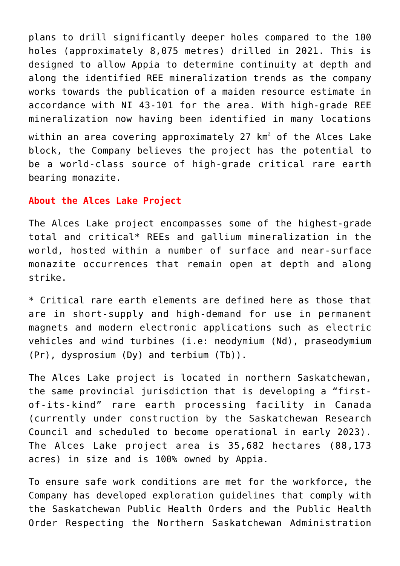plans to drill significantly deeper holes compared to the 100 holes (approximately 8,075 metres) drilled in 2021. This is designed to allow Appia to determine continuity at depth and along the identified REE mineralization trends as the company works towards the publication of a maiden resource estimate in accordance with NI 43-101 for the area. With high-grade REE mineralization now having been identified in many locations within an area covering approximately 27 km $^2$  of the Alces Lake block, the Company believes the project has the potential to

be a world-class source of high-grade critical rare earth bearing monazite.

## **About the Alces Lake Project**

The Alces Lake project encompasses some of the highest-grade total and critical\* REEs and gallium mineralization in the world, hosted within a number of surface and near-surface monazite occurrences that remain open at depth and along strike.

\* Critical rare earth elements are defined here as those that are in short-supply and high-demand for use in permanent magnets and modern electronic applications such as electric vehicles and wind turbines (i.e: neodymium (Nd), praseodymium (Pr), dysprosium (Dy) and terbium (Tb)).

The Alces Lake project is located in northern Saskatchewan, the same provincial jurisdiction that is developing a "firstof-its-kind" rare earth processing facility in Canada (currently under construction by the Saskatchewan Research Council and scheduled to become operational in early 2023). The Alces Lake project area is 35,682 hectares (88,173 acres) in size and is 100% owned by Appia.

To ensure safe work conditions are met for the workforce, the Company has developed exploration guidelines that comply with the Saskatchewan Public Health Orders and the Public Health Order Respecting the Northern Saskatchewan Administration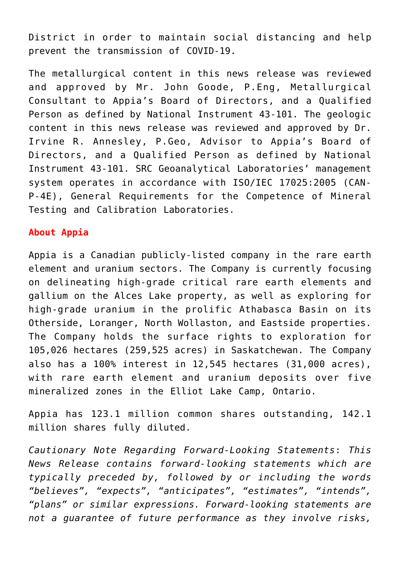District in order to maintain social distancing and help prevent the transmission of COVID-19.

The metallurgical content in this news release was reviewed and approved by Mr. John Goode, P.Eng, Metallurgical Consultant to Appia's Board of Directors, and a Qualified Person as defined by National Instrument 43-101. The geologic content in this news release was reviewed and approved by Dr. Irvine R. Annesley, P.Geo, Advisor to Appia's Board of Directors, and a Qualified Person as defined by National Instrument 43-101. SRC Geoanalytical Laboratories' management system operates in accordance with ISO/IEC 17025:2005 (CAN-P-4E), General Requirements for the Competence of Mineral Testing and Calibration Laboratories.

## **About Appia**

Appia is a Canadian publicly-listed company in the rare earth element and uranium sectors. The Company is currently focusing on delineating high-grade critical rare earth elements and gallium on the Alces Lake property, as well as exploring for high-grade uranium in the prolific Athabasca Basin on its Otherside, Loranger, North Wollaston, and Eastside properties. The Company holds the surface rights to exploration for 105,026 hectares (259,525 acres) in Saskatchewan. The Company also has a 100% interest in 12,545 hectares (31,000 acres), with rare earth element and uranium deposits over five mineralized zones in the Elliot Lake Camp, Ontario.

Appia has 123.1 million common shares outstanding, 142.1 million shares fully diluted.

*Cautionary Note Regarding Forward-Looking Statements*: *This News Release contains forward-looking statements which are typically preceded by, followed by or including the words "believes", "expects", "anticipates", "estimates", "intends", "plans" or similar expressions. Forward-looking statements are not a guarantee of future performance as they involve risks,*